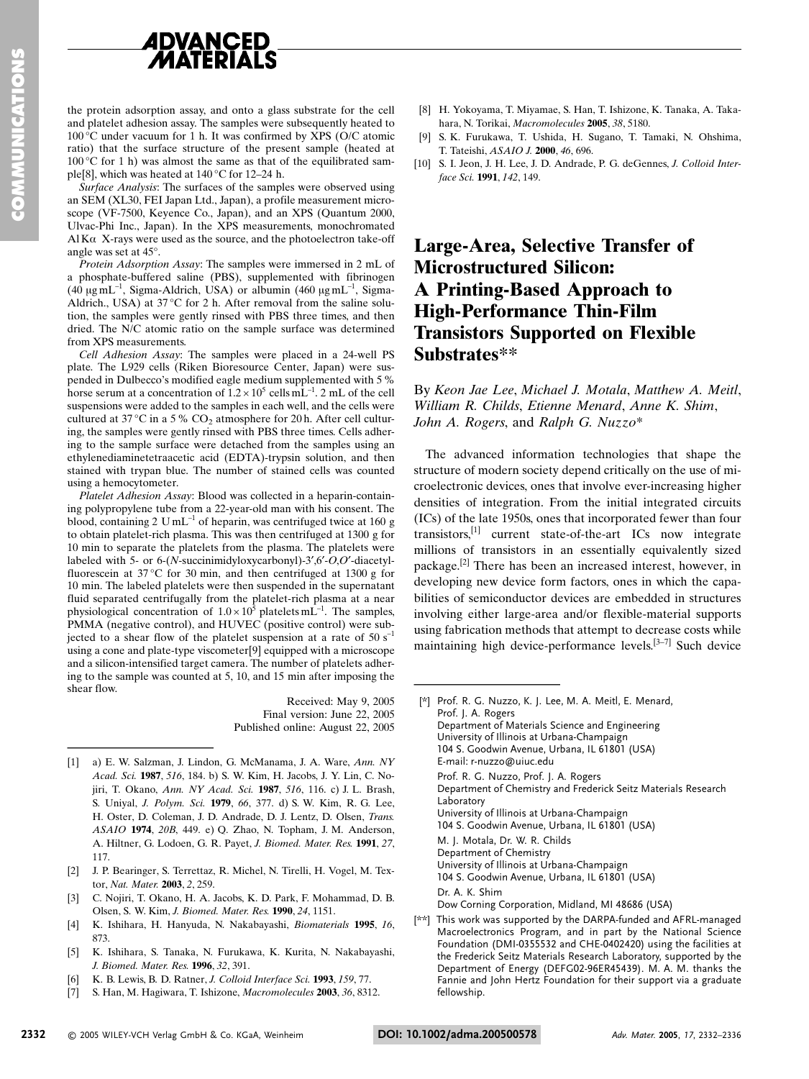

the protein adsorption assay, and onto a glass substrate for the cell and platelet adhesion assay. The samples were subsequently heated to 100 °C under vacuum for 1 h. It was confirmed by XPS (O/C atomic ratio) that the surface structure of the present sample (heated at  $100^{\circ}$ C for 1 h) was almost the same as that of the equilibrated sample<sup>[8]</sup>, which was heated at 140 °C for 12-24 h.

Surface Analysis: The surfaces of the samples were observed using an SEM (XL30, FEI Japan Ltd., Japan), a profile measurement microscope (VF-7500, Keyence Co., Japan), and an XPS (Quantum 2000, Ulvac-Phi Inc., Japan). In the XPS measurements, monochromated  $AI$ K $\alpha$  X-rays were used as the source, and the photoelectron take-off angle was set at 45°.

Protein Adsorption Assay: The samples were immersed in 2 mL of a phosphate-buffered saline (PBS), supplemented with fibrinogen (40 µg mL<sup>-1</sup>, Sigma-Aldrich, USA) or albumin (460 µg mL<sup>-1</sup>, Sigma-Aldrich., USA) at 37 °C for 2 h. After removal from the saline solution, the samples were gently rinsed with PBS three times, and then dried. The N/C atomic ratio on the sample surface was determined from XPS measurements.

Cell Adhesion Assay: The samples were placed in a 24-well PS plate. The L929 cells (Riken Bioresource Center, Japan) were suspended in Dulbecco's modified eagle medium supplemented with 5 % horse serum at a concentration of  $1.2 \times 10^5$  cells  $mL^{-1}$ . 2 mL of the cell suspensions were added to the samples in each well, and the cells were cultured at  $37^{\circ}$ C in a 5% CO<sub>2</sub> atmosphere for 20 h. After cell culturing, the samples were gently rinsed with PBS three times. Cells adhering to the sample surface were detached from the samples using an ethylenediaminetetraacetic acid (EDTA)-trypsin solution, and then stained with trypan blue. The number of stained cells was counted using a hemocytometer.

Platelet Adhesion Assay: Blood was collected in a heparin-containing polypropylene tube from a 22-year-old man with his consent. The blood, containing 2 U mL<sup>-1</sup> of heparin, was centrifuged twice at 160 g to obtain platelet-rich plasma. This was then centrifuged at 1300 g for 10 min to separate the platelets from the plasma. The platelets were labeled with 5- or 6-(N-succinimidyloxycarbonyl)-3',6'-O,O'-diacetylfluorescein at 37°C for 30 min, and then centrifuged at 1300 g for 10 min. The labeled platelets were then suspended in the supernatant fluid separated centrifugally from the platelet-rich plasma at a near<br>physiological concentration of  $1.0 \times 10^5$  platelets mL<sup>-1</sup>. The samples, PMMA (negative control), and HUVEC (positive control) were subjected to a shear flow of the platelet suspension at a rate of 50  $s^{-1}$ using a cone and plate-type viscometer[9] equipped with a microscope and a silicon-intensified target camera. The number of platelets adhering to the sample was counted at 5, 10, and 15 min after imposing the shear flow.

Received: May 9, 2005 Final version: June 22, 2005 Published online: August 22, 2005

- [1] a) E. W. Salzman, J. Lindon, G. McManama, J. A. Ware, Ann. NY Acad. Sci. 1987, 516, 184. b) S. W. Kim, H. Jacobs, J. Y. Lin, C. Nojiri, T. Okano, Ann. NY Acad. Sci. 1987, 516, 116. c) J. L. Brash, S. Uniyal, J. Polym. Sci. 1979, 66, 377. d) S. W. Kim, R. G. Lee, H. Oster, D. Coleman, J. D. Andrade, D. J. Lentz, D. Olsen, Trans. ASAIO 1974, 20B, 449. e) Q. Zhao, N. Topham, J. M. Anderson, A. Hiltner, G. Lodoen, G. R. Payet, J. Biomed. Mater. Res. 1991, 27, 117.
- [2] J. P. Bearinger, S. Terrettaz, R. Michel, N. Tirelli, H. Vogel, M. Textor, Nat. Mater. 2003, 2, 259.
- C. Nojiri, T. Okano, H. A. Jacobs, K. D. Park, F. Mohammad, D. B. Olsen, S. W. Kim, J. Biomed. Mater. Res. 1990, 24, 1151.
- [4] K. Ishihara, H. Hanyuda, N. Nakabayashi, Biomaterials 1995, 16, 873
- K. Ishihara, S. Tanaka, N. Furukawa, K. Kurita, N. Nakabayashi,  $[5]$ J. Biomed. Mater. Res. 1996, 32, 391.
- K. B. Lewis, B. D. Ratner, J. Colloid Interface Sci. 1993, 159, 77.  $[6]$
- S. Han, M. Hagiwara, T. Ishizone, Macromolecules 2003, 36, 8312.  $[7]$
- [8] H. Yokovama, T. Mivamae, S. Han, T. Ishizone, K. Tanaka, A. Takahara, N. Torikai, Macromolecules 2005, 38, 5180.
- [9] S. K. Furukawa, T. Ushida, H. Sugano, T. Tamaki, N. Ohshima, T. Tateishi, ASAIO J. 2000, 46, 696.
- [10] S. I. Jeon, J. H. Lee, J. D. Andrade, P. G. deGennes, J. Colloid Interface Sci. 1991, 142, 149.

# Large-Area, Selective Transfer of **Microstructured Silicon: A Printing-Based Approach to High-Performance Thin-Film Transistors Supported on Flexible** Substrates\*\*

By Keon Jae Lee, Michael J. Motala, Matthew A. Meitl, William R. Childs, Etienne Menard, Anne K. Shim, John A. Rogers, and Ralph G. Nuzzo\*

The advanced information technologies that shape the structure of modern society depend critically on the use of microelectronic devices, ones that involve ever-increasing higher densities of integration. From the initial integrated circuits (ICs) of the late 1950s, ones that incorporated fewer than four transistors, $^{[1]}$  current state-of-the-art ICs now integrate millions of transistors in an essentially equivalently sized package.<sup>[2]</sup> There has been an increased interest, however, in developing new device form factors, ones in which the capabilities of semiconductor devices are embedded in structures involving either large-area and/or flexible-material supports using fabrication methods that attempt to decrease costs while maintaining high device-performance levels.  $[3-7]$  Such device

- [\*] Prof. R. G. Nuzzo, K. J. Lee, M. A. Meitl, E. Menard, Prof. I. A. Rogers Department of Materials Science and Engineering University of Illinois at Urbana-Champaign 104 S. Goodwin Avenue, Urbana, IL 61801 (USA) E-mail: r-nuzzo@uiuc.edu Prof. R. G. Nuzzo, Prof. J. A. Rogers Department of Chemistry and Frederick Seitz Materials Research Laboratory University of Illinois at Urbana-Champaign 104 S. Goodwin Avenue, Urbana, IL 61801 (USA) M. J. Motala, Dr. W. R. Childs Department of Chemistry University of Illinois at Urbana-Champaign 104 S. Goodwin Avenue, Urbana, IL 61801 (USA) Dr. A. K. Shim Dow Corning Corporation, Midland, MI 48686 (USA)
- This work was supported by the DARPA-funded and AFRL-managed  $[x*]$ Macroelectronics Program, and in part by the National Science Foundation (DMI-0355532 and CHE-0402420) using the facilities at the Frederick Seitz Materials Research Laboratory, supported by the Department of Energy (DEFG02-96ER45439). M. A. M. thanks the Fannie and John Hertz Foundation for their support via a graduate fellowship.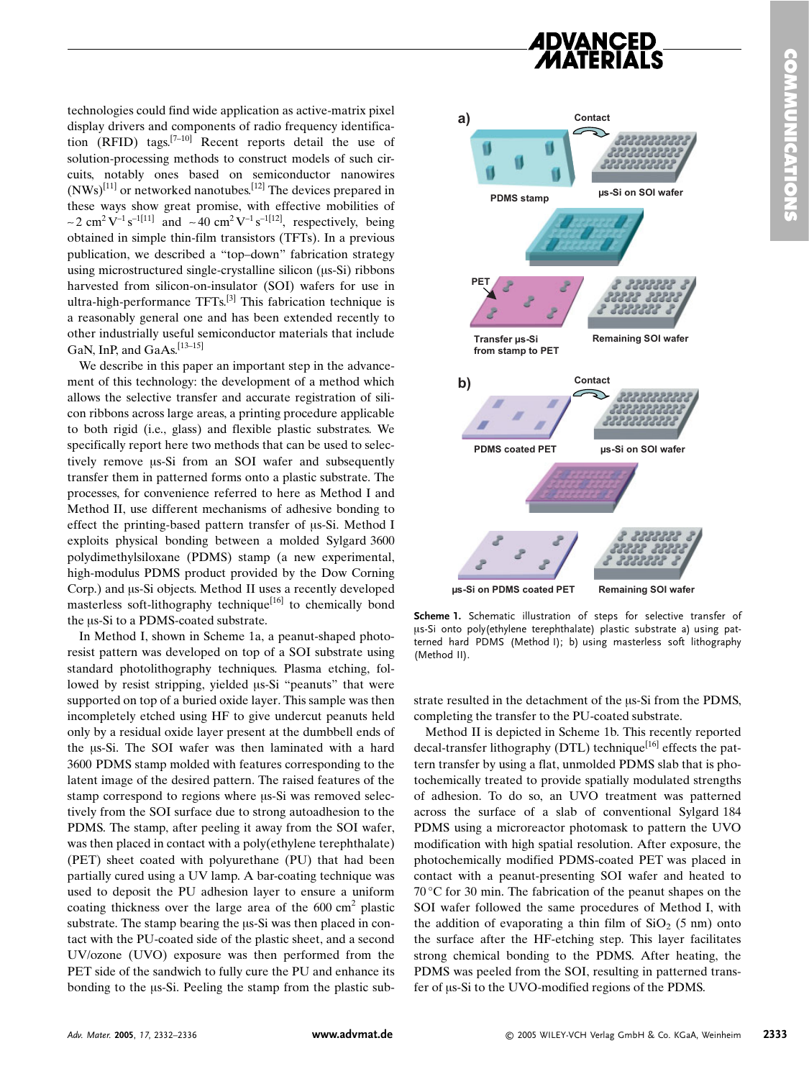technologies could find wide application as active-matrix pixel display drivers and components of radio frequency identification (RFID) tags.  $[7-10]$  Recent reports detail the use of solution-processing methods to construct models of such circuits, notably ones based on semiconductor nanowires  $(NWs)^{[11]}$  or networked nanotubes.<sup>[12]</sup> The devices prepared in these ways show great promise, with effective mobilities of ~2 cm<sup>2</sup>V<sup>-1</sup>s<sup>-1[11]</sup> and ~40 cm<sup>2</sup>V<sup>-1</sup>s<sup>-1[12]</sup>, respectively, being obtained in simple thin-film transistors (TFTs). In a previous publication, we described a "top-down" fabrication strategy using microstructured single-crystalline silicon (us-Si) ribbons harvested from silicon-on-insulator (SOI) wafers for use in ultra-high-performance TFTs.<sup>[3]</sup> This fabrication technique is a reasonably general one and has been extended recently to other industrially useful semiconductor materials that include GaN, InP, and GaAs.<sup>[13-15]</sup>

We describe in this paper an important step in the advancement of this technology: the development of a method which allows the selective transfer and accurate registration of silicon ribbons across large areas, a printing procedure applicable to both rigid (i.e., glass) and flexible plastic substrates. We specifically report here two methods that can be used to selectively remove us-Si from an SOI wafer and subsequently transfer them in patterned forms onto a plastic substrate. The processes, for convenience referred to here as Method I and Method II, use different mechanisms of adhesive bonding to effect the printing-based pattern transfer of us-Si. Method I exploits physical bonding between a molded Sylgard 3600 polydimethylsiloxane (PDMS) stamp (a new experimental, high-modulus PDMS product provided by the Dow Corning Corp.) and us-Si objects. Method II uses a recently developed masterless soft-lithography technique<sup>[16]</sup> to chemically bond the us-Si to a PDMS-coated substrate.

In Method I, shown in Scheme 1a, a peanut-shaped photoresist pattern was developed on top of a SOI substrate using standard photolithography techniques. Plasma etching, followed by resist stripping, yielded us-Si "peanuts" that were supported on top of a buried oxide layer. This sample was then incompletely etched using HF to give undercut peanuts held only by a residual oxide layer present at the dumbbell ends of the us-Si. The SOI wafer was then laminated with a hard 3600 PDMS stamp molded with features corresponding to the latent image of the desired pattern. The raised features of the stamp correspond to regions where us-Si was removed selectively from the SOI surface due to strong autoadhesion to the PDMS. The stamp, after peeling it away from the SOI wafer, was then placed in contact with a poly (ethylene terephthalate) (PET) sheet coated with polyurethane (PU) that had been partially cured using a UV lamp. A bar-coating technique was used to deposit the PU adhesion layer to ensure a uniform coating thickness over the large area of the  $600 \text{ cm}^2$  plastic substrate. The stamp bearing the  $\mu$ s-Si was then placed in contact with the PU-coated side of the plastic sheet, and a second UV/ozone (UVO) exposure was then performed from the PET side of the sandwich to fully cure the PU and enhance its bonding to the  $\mu$ s-Si. Peeling the stamp from the plastic sub-



Scheme 1. Schematic illustration of steps for selective transfer of us-Si onto poly(ethylene terephthalate) plastic substrate a) using patterned hard PDMS (Method I); b) using masterless soft lithography (Method II).

strate resulted in the detachment of the  $\mu$ s-Si from the PDMS, completing the transfer to the PU-coated substrate.

Method II is depicted in Scheme 1b. This recently reported decal-transfer lithography (DTL) technique<sup>[16]</sup> effects the pattern transfer by using a flat, unmolded PDMS slab that is photochemically treated to provide spatially modulated strengths of adhesion. To do so, an UVO treatment was patterned across the surface of a slab of conventional Sylgard 184 PDMS using a microreactor photomask to pattern the UVO modification with high spatial resolution. After exposure, the photochemically modified PDMS-coated PET was placed in contact with a peanut-presenting SOI wafer and heated to  $70^{\circ}$ C for 30 min. The fabrication of the peanut shapes on the SOI wafer followed the same procedures of Method I, with the addition of evaporating a thin film of  $SiO<sub>2</sub>$  (5 nm) onto the surface after the HF-etching step. This layer facilitates strong chemical bonding to the PDMS. After heating, the PDMS was peeled from the SOI, resulting in patterned transfer of  $\mu$ s-Si to the UVO-modified regions of the PDMS.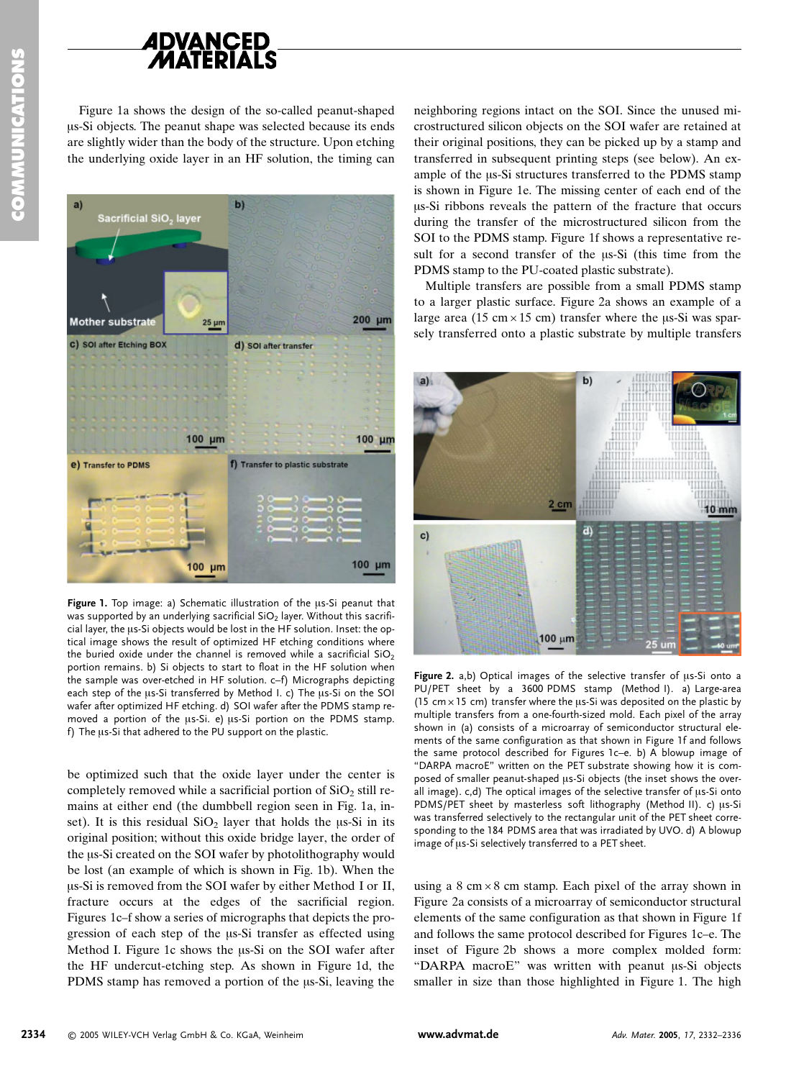

Figure 1a shows the design of the so-called peanut-shaped us-Si objects. The peanut shape was selected because its ends are slightly wider than the body of the structure. Upon etching the underlying oxide layer in an HF solution, the timing can



Figure 1. Top image: a) Schematic illustration of the us-Si peanut that was supported by an underlying sacrificial SiO<sub>2</sub> layer. Without this sacrificial layer, the us-Si objects would be lost in the HF solution. Inset: the optical image shows the result of optimized HF etching conditions where the buried oxide under the channel is removed while a sacrificial  $SiO<sub>2</sub>$ portion remains. b) Si objects to start to float in the HF solution when the sample was over-etched in HF solution. c-f) Micrographs depicting each step of the us-Si transferred by Method I. c) The us-Si on the SOI wafer after optimized HF etching. d) SOI wafer after the PDMS stamp removed a portion of the us-Si. e) us-Si portion on the PDMS stamp. f) The us-Si that adhered to the PU support on the plastic.

be optimized such that the oxide layer under the center is completely removed while a sacrificial portion of SiO<sub>2</sub> still remains at either end (the dumbbell region seen in Fig. 1a, inset). It is this residual  $SiO<sub>2</sub>$  layer that holds the  $\mu$ s-Si in its original position; without this oxide bridge layer, the order of the us-Si created on the SOI wafer by photolithography would be lost (an example of which is shown in Fig. 1b). When the us-Si is removed from the SOI wafer by either Method I or II, fracture occurs at the edges of the sacrificial region. Figures 1c–f show a series of micrographs that depicts the progression of each step of the us-Si transfer as effected using Method I. Figure 1c shows the  $\mu$ s-Si on the SOI wafer after the HF undercut-etching step. As shown in Figure 1d, the PDMS stamp has removed a portion of the us-Si, leaving the

neighboring regions intact on the SOI. Since the unused microstructured silicon objects on the SOI wafer are retained at their original positions, they can be picked up by a stamp and transferred in subsequent printing steps (see below). An example of the  $\mu$ s-Si structures transferred to the PDMS stamp is shown in Figure 1e. The missing center of each end of the us-Si ribbons reveals the pattern of the fracture that occurs during the transfer of the microstructured silicon from the SOI to the PDMS stamp. Figure 1f shows a representative result for a second transfer of the  $\mu$ s-Si (this time from the PDMS stamp to the PU-coated plastic substrate).

Multiple transfers are possible from a small PDMS stamp to a larger plastic surface. Figure 2a shows an example of a large area (15 cm  $\times$  15 cm) transfer where the  $\mu$ s-Si was sparsely transferred onto a plastic substrate by multiple transfers



Figure 2. a,b) Optical images of the selective transfer of us-Si onto a PU/PET sheet by a 3600 PDMS stamp (Method I). a) Large-area  $(15 \text{ cm} \times 15 \text{ cm})$  transfer where the us-Si was deposited on the plastic by multiple transfers from a one-fourth-sized mold. Each pixel of the array shown in (a) consists of a microarray of semiconductor structural elements of the same configuration as that shown in Figure 1f and follows the same protocol described for Figures 1c-e. b) A blowup image of "DARPA macroE" written on the PET substrate showing how it is composed of smaller peanut-shaped us-Si objects (the inset shows the overall image). c,d) The optical images of the selective transfer of us-Si onto PDMS/PET sheet by masterless soft lithography (Method II). c) µs-Si was transferred selectively to the rectangular unit of the PET sheet corresponding to the 184 PDMS area that was irradiated by UVO. d) A blowup image of us-Si selectively transferred to a PET sheet.

using a  $8 \text{ cm} \times 8 \text{ cm}$  stamp. Each pixel of the array shown in Figure 2a consists of a microarray of semiconductor structural elements of the same configuration as that shown in Figure 1f and follows the same protocol described for Figures 1c-e. The inset of Figure 2b shows a more complex molded form: "DARPA macroE" was written with peanut us-Si objects smaller in size than those highlighted in Figure 1. The high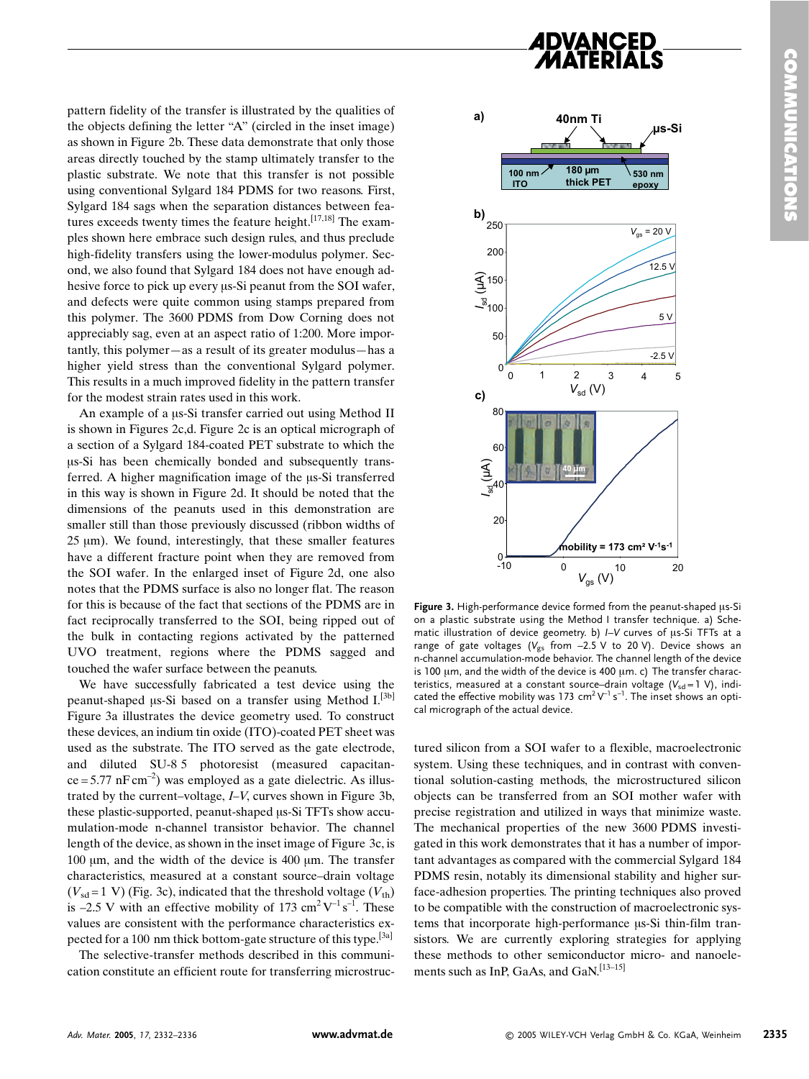

pattern fidelity of the transfer is illustrated by the qualities of the objects defining the letter "A" (circled in the inset image) as shown in Figure 2b. These data demonstrate that only those areas directly touched by the stamp ultimately transfer to the plastic substrate. We note that this transfer is not possible using conventional Sylgard 184 PDMS for two reasons. First, Sylgard 184 sags when the separation distances between features exceeds twenty times the feature height.<sup>[17,18]</sup> The examples shown here embrace such design rules, and thus preclude high-fidelity transfers using the lower-modulus polymer. Second, we also found that Sylgard 184 does not have enough adhesive force to pick up every us-Si peanut from the SOI wafer, and defects were quite common using stamps prepared from this polymer. The 3600 PDMS from Dow Corning does not appreciably sag, even at an aspect ratio of 1:200. More importantly, this polymer—as a result of its greater modulus—has a higher yield stress than the conventional Sylgard polymer. This results in a much improved fidelity in the pattern transfer for the modest strain rates used in this work.

An example of a us-Si transfer carried out using Method II is shown in Figures 2c,d. Figure 2c is an optical micrograph of a section of a Sylgard 184-coated PET substrate to which the us-Si has been chemically bonded and subsequently transferred. A higher magnification image of the  $\mu$ s-Si transferred in this way is shown in Figure 2d. It should be noted that the dimensions of the peanuts used in this demonstration are smaller still than those previously discussed (ribbon widths of  $25 \mu m$ ). We found, interestingly, that these smaller features have a different fracture point when they are removed from the SOI wafer. In the enlarged inset of Figure 2d, one also notes that the PDMS surface is also no longer flat. The reason for this is because of the fact that sections of the PDMS are in fact reciprocally transferred to the SOI, being ripped out of the bulk in contacting regions activated by the patterned UVO treatment, regions where the PDMS sagged and touched the wafer surface between the peanuts.

We have successfully fabricated a test device using the peanut-shaped us-Si based on a transfer using Method I.<sup>[3b]</sup> Figure 3a illustrates the device geometry used. To construct these devices, an indium tin oxide (ITO)-coated PET sheet was used as the substrate. The ITO served as the gate electrode, and diluted SU-8.5 photoresist (measured capacitan $ce = 5.77$  nF cm<sup>-2</sup>) was employed as a gate dielectric. As illustrated by the current-voltage, I-V, curves shown in Figure 3b, these plastic-supported, peanut-shaped us-Si TFTs show accumulation-mode n-channel transistor behavior. The channel length of the device, as shown in the inset image of Figure 3c, is 100 um, and the width of the device is 400 um. The transfer characteristics, measured at a constant source-drain voltage  $(V_{sd} = 1 \text{ V})$  (Fig. 3c), indicated that the threshold voltage  $(V_{th})$ is -2.5 V with an effective mobility of 173 cm<sup>2</sup>V<sup>-1</sup>s<sup>-1</sup>. These values are consistent with the performance characteristics expected for a 100 nm thick bottom-gate structure of this type.<sup>[3a]</sup>

The selective-transfer methods described in this communication constitute an efficient route for transferring microstruc-



Figure 3. High-performance device formed from the peanut-shaped us-Si on a plastic substrate using the Method I transfer technique. a) Schematic illustration of device geometry. b) I-V curves of us-Si TFTs at a range of gate voltages ( $V_{gs}$  from -2.5 V to 20 V). Device shows an n-channel accumulation-mode behavior. The channel length of the device is 100 um, and the width of the device is 400 um. c) The transfer characteristics, measured at a constant source-drain voltage  $(V_{sd} = 1 V)$ , indicated the effective mobility was 173 cm<sup>2</sup> $V^{-1}$  s<sup>-1</sup>. The inset shows an optical micrograph of the actual device.

tured silicon from a SOI wafer to a flexible, macroelectronic system. Using these techniques, and in contrast with conventional solution-casting methods, the microstructured silicon objects can be transferred from an SOI mother wafer with precise registration and utilized in ways that minimize waste. The mechanical properties of the new 3600 PDMS investigated in this work demonstrates that it has a number of important advantages as compared with the commercial Sylgard 184 PDMS resin, notably its dimensional stability and higher surface-adhesion properties. The printing techniques also proved to be compatible with the construction of macroelectronic systems that incorporate high-performance us-Si thin-film transistors. We are currently exploring strategies for applying these methods to other semiconductor micro- and nanoelements such as InP, GaAs, and GaN.<sup>[13-15]</sup>